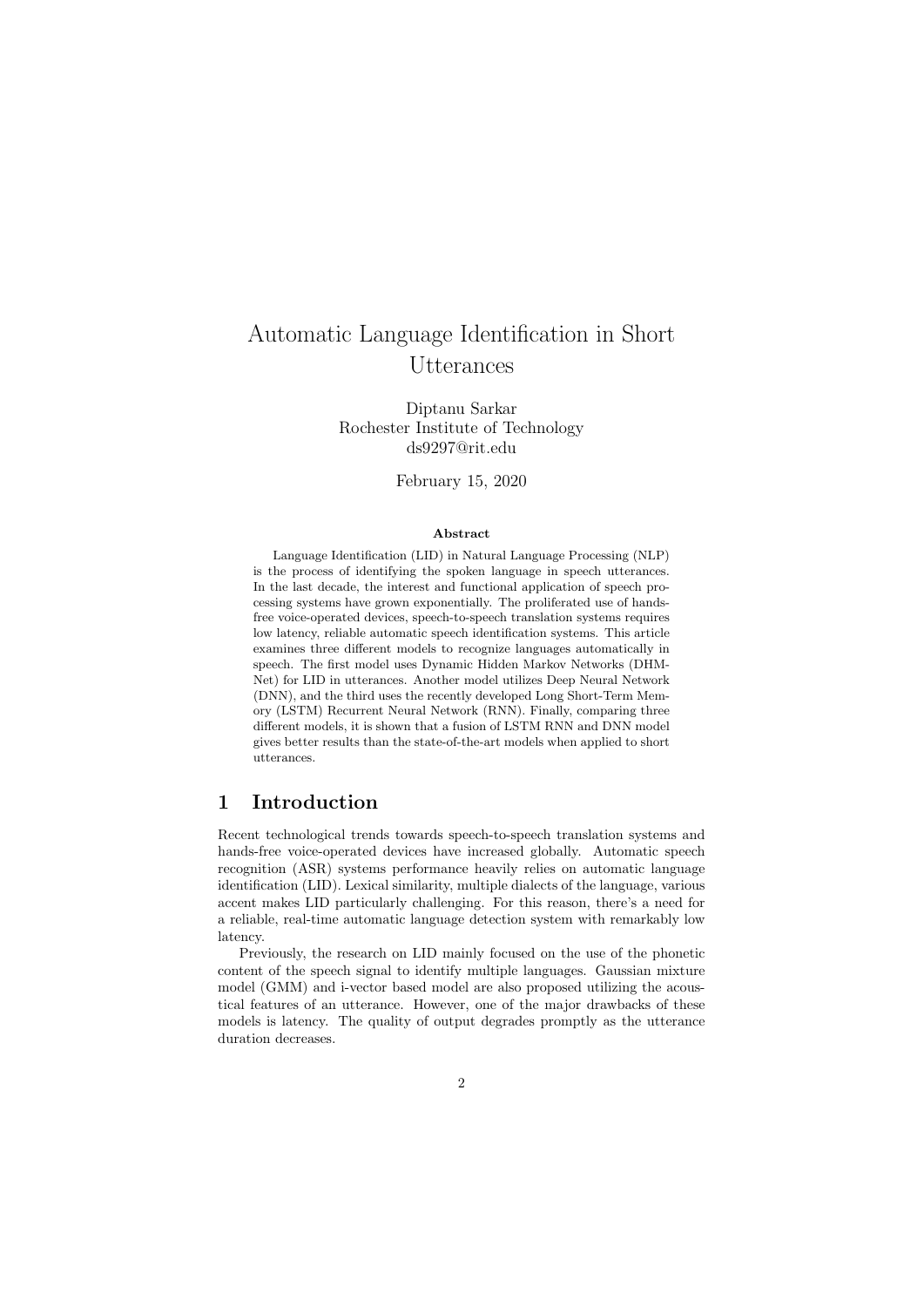# Automatic Language Identification in Short Utterances

Diptanu Sarkar Rochester Institute of Technology ds9297@rit.edu

February 15, 2020

#### Abstract

Language Identification (LID) in Natural Language Processing (NLP) is the process of identifying the spoken language in speech utterances. In the last decade, the interest and functional application of speech processing systems have grown exponentially. The proliferated use of handsfree voice-operated devices, speech-to-speech translation systems requires low latency, reliable automatic speech identification systems. This article examines three different models to recognize languages automatically in speech. The first model uses Dynamic Hidden Markov Networks (DHM-Net) for LID in utterances. Another model utilizes Deep Neural Network (DNN), and the third uses the recently developed Long Short-Term Memory (LSTM) Recurrent Neural Network (RNN). Finally, comparing three different models, it is shown that a fusion of LSTM RNN and DNN model gives better results than the state-of-the-art models when applied to short utterances.

# 1 Introduction

Recent technological trends towards speech-to-speech translation systems and hands-free voice-operated devices have increased globally. Automatic speech recognition (ASR) systems performance heavily relies on automatic language identification (LID). Lexical similarity, multiple dialects of the language, various accent makes LID particularly challenging. For this reason, there's a need for a reliable, real-time automatic language detection system with remarkably low latency.

Previously, the research on LID mainly focused on the use of the phonetic content of the speech signal to identify multiple languages. Gaussian mixture model (GMM) and i-vector based model are also proposed utilizing the acoustical features of an utterance. However, one of the major drawbacks of these models is latency. The quality of output degrades promptly as the utterance duration decreases.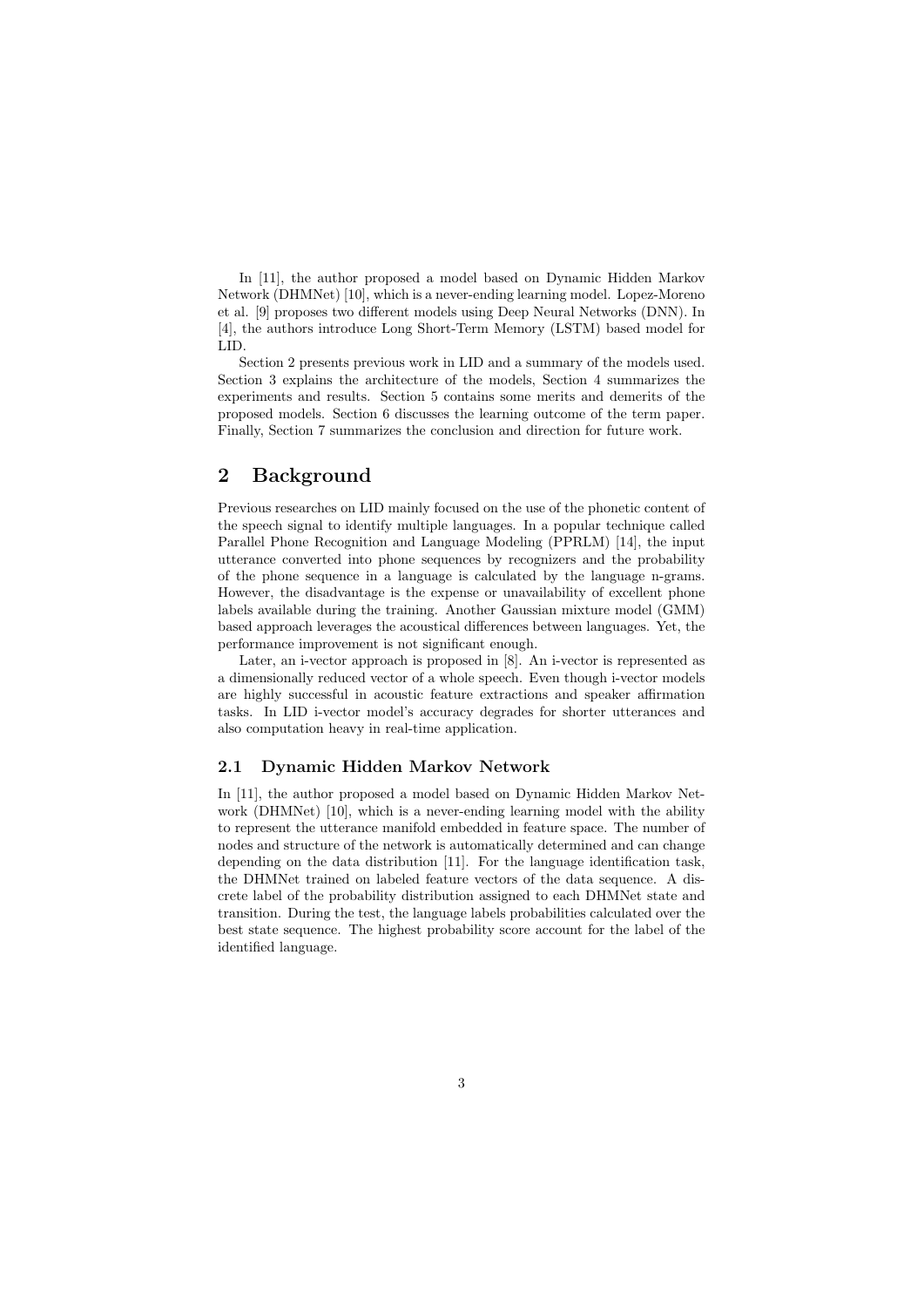In [11], the author proposed a model based on Dynamic Hidden Markov Network (DHMNet) [10], which is a never-ending learning model. Lopez-Moreno et al. [9] proposes two different models using Deep Neural Networks (DNN). In [4], the authors introduce Long Short-Term Memory (LSTM) based model for LID.

Section 2 presents previous work in LID and a summary of the models used. Section 3 explains the architecture of the models, Section 4 summarizes the experiments and results. Section 5 contains some merits and demerits of the proposed models. Section 6 discusses the learning outcome of the term paper. Finally, Section 7 summarizes the conclusion and direction for future work.

# 2 Background

Previous researches on LID mainly focused on the use of the phonetic content of the speech signal to identify multiple languages. In a popular technique called Parallel Phone Recognition and Language Modeling (PPRLM) [14], the input utterance converted into phone sequences by recognizers and the probability of the phone sequence in a language is calculated by the language n-grams. However, the disadvantage is the expense or unavailability of excellent phone labels available during the training. Another Gaussian mixture model (GMM) based approach leverages the acoustical differences between languages. Yet, the performance improvement is not significant enough.

Later, an i-vector approach is proposed in [8]. An i-vector is represented as a dimensionally reduced vector of a whole speech. Even though i-vector models are highly successful in acoustic feature extractions and speaker affirmation tasks. In LID i-vector model's accuracy degrades for shorter utterances and also computation heavy in real-time application.

#### 2.1 Dynamic Hidden Markov Network

In [11], the author proposed a model based on Dynamic Hidden Markov Network (DHMNet) [10], which is a never-ending learning model with the ability to represent the utterance manifold embedded in feature space. The number of nodes and structure of the network is automatically determined and can change depending on the data distribution [11]. For the language identification task, the DHMNet trained on labeled feature vectors of the data sequence. A discrete label of the probability distribution assigned to each DHMNet state and transition. During the test, the language labels probabilities calculated over the best state sequence. The highest probability score account for the label of the identified language.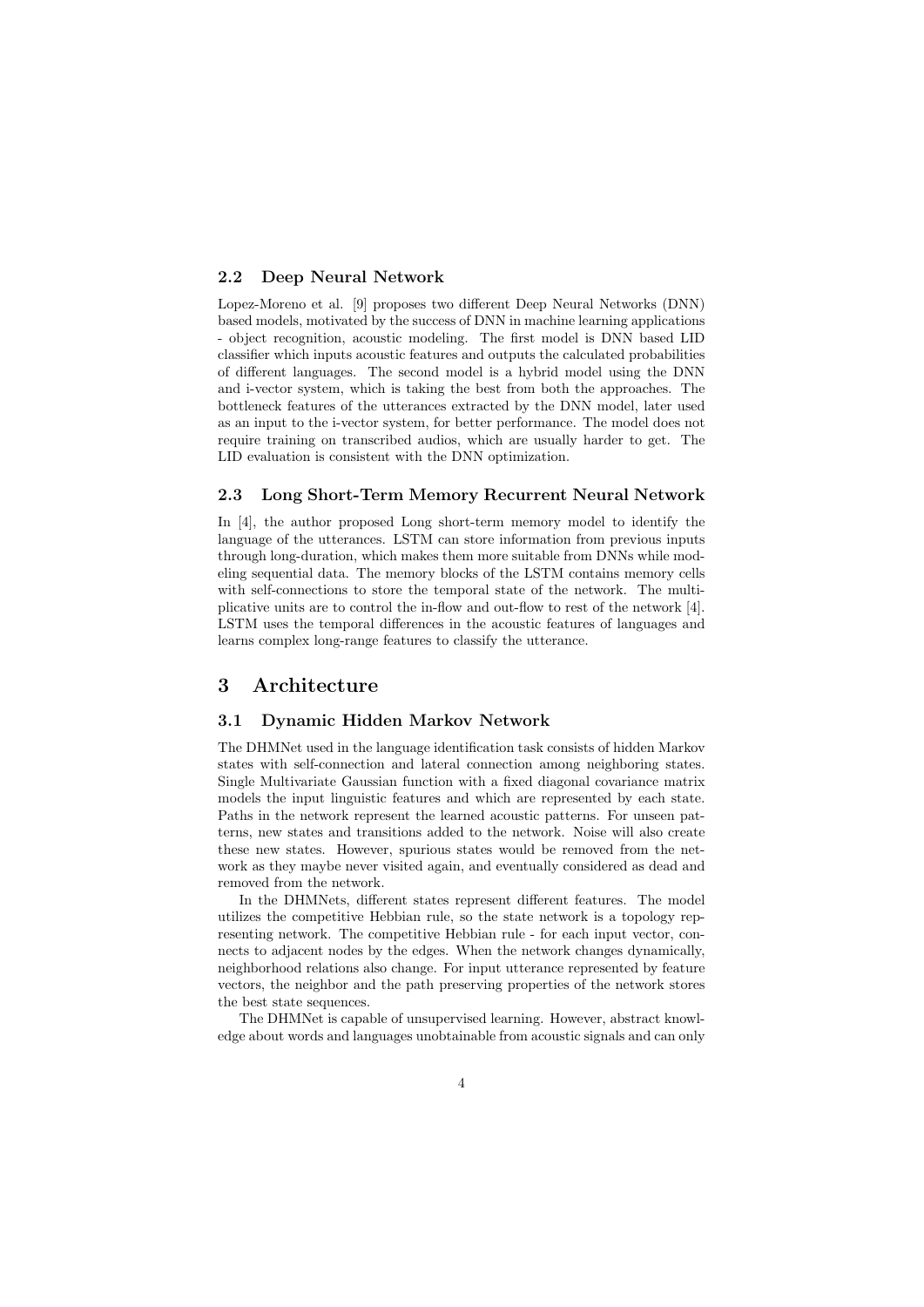#### 2.2 Deep Neural Network

Lopez-Moreno et al. [9] proposes two different Deep Neural Networks (DNN) based models, motivated by the success of DNN in machine learning applications - object recognition, acoustic modeling. The first model is DNN based LID classifier which inputs acoustic features and outputs the calculated probabilities of different languages. The second model is a hybrid model using the DNN and i-vector system, which is taking the best from both the approaches. The bottleneck features of the utterances extracted by the DNN model, later used as an input to the i-vector system, for better performance. The model does not require training on transcribed audios, which are usually harder to get. The LID evaluation is consistent with the DNN optimization.

#### 2.3 Long Short-Term Memory Recurrent Neural Network

In [4], the author proposed Long short-term memory model to identify the language of the utterances. LSTM can store information from previous inputs through long-duration, which makes them more suitable from DNNs while modeling sequential data. The memory blocks of the LSTM contains memory cells with self-connections to store the temporal state of the network. The multiplicative units are to control the in-flow and out-flow to rest of the network [4]. LSTM uses the temporal differences in the acoustic features of languages and learns complex long-range features to classify the utterance.

## 3 Architecture

### 3.1 Dynamic Hidden Markov Network

The DHMNet used in the language identification task consists of hidden Markov states with self-connection and lateral connection among neighboring states. Single Multivariate Gaussian function with a fixed diagonal covariance matrix models the input linguistic features and which are represented by each state. Paths in the network represent the learned acoustic patterns. For unseen patterns, new states and transitions added to the network. Noise will also create these new states. However, spurious states would be removed from the network as they maybe never visited again, and eventually considered as dead and removed from the network.

In the DHMNets, different states represent different features. The model utilizes the competitive Hebbian rule, so the state network is a topology representing network. The competitive Hebbian rule - for each input vector, connects to adjacent nodes by the edges. When the network changes dynamically, neighborhood relations also change. For input utterance represented by feature vectors, the neighbor and the path preserving properties of the network stores the best state sequences.

The DHMNet is capable of unsupervised learning. However, abstract knowledge about words and languages unobtainable from acoustic signals and can only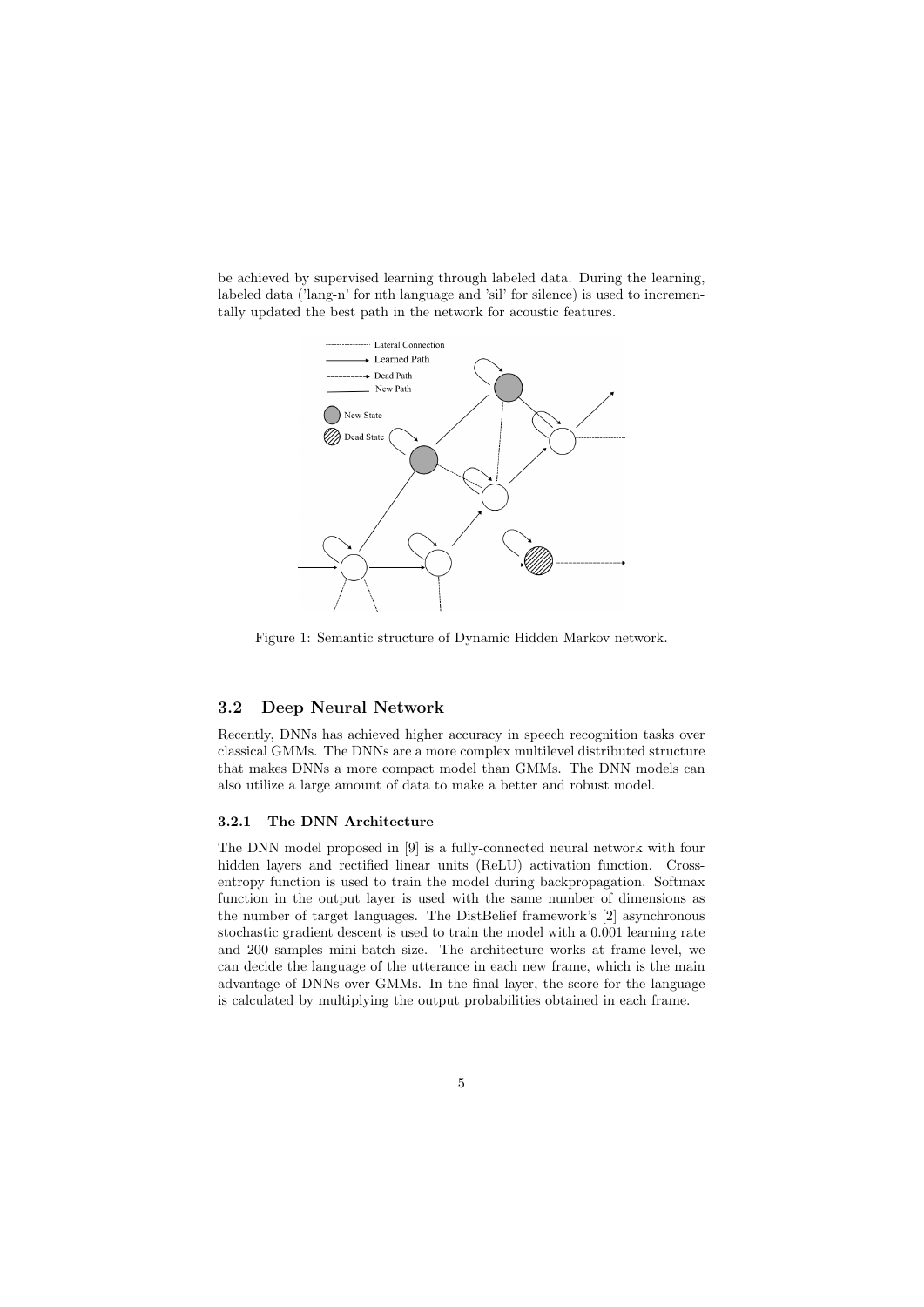be achieved by supervised learning through labeled data. During the learning, labeled data ('lang-n' for nth language and 'sil' for silence) is used to incrementally updated the best path in the network for acoustic features.



Figure 1: Semantic structure of Dynamic Hidden Markov network.

#### 3.2 Deep Neural Network

Recently, DNNs has achieved higher accuracy in speech recognition tasks over classical GMMs. The DNNs are a more complex multilevel distributed structure that makes DNNs a more compact model than GMMs. The DNN models can also utilize a large amount of data to make a better and robust model.

#### 3.2.1 The DNN Architecture

The DNN model proposed in [9] is a fully-connected neural network with four hidden layers and rectified linear units (ReLU) activation function. Crossentropy function is used to train the model during backpropagation. Softmax function in the output layer is used with the same number of dimensions as the number of target languages. The DistBelief framework's [2] asynchronous stochastic gradient descent is used to train the model with a 0.001 learning rate and 200 samples mini-batch size. The architecture works at frame-level, we can decide the language of the utterance in each new frame, which is the main advantage of DNNs over GMMs. In the final layer, the score for the language is calculated by multiplying the output probabilities obtained in each frame.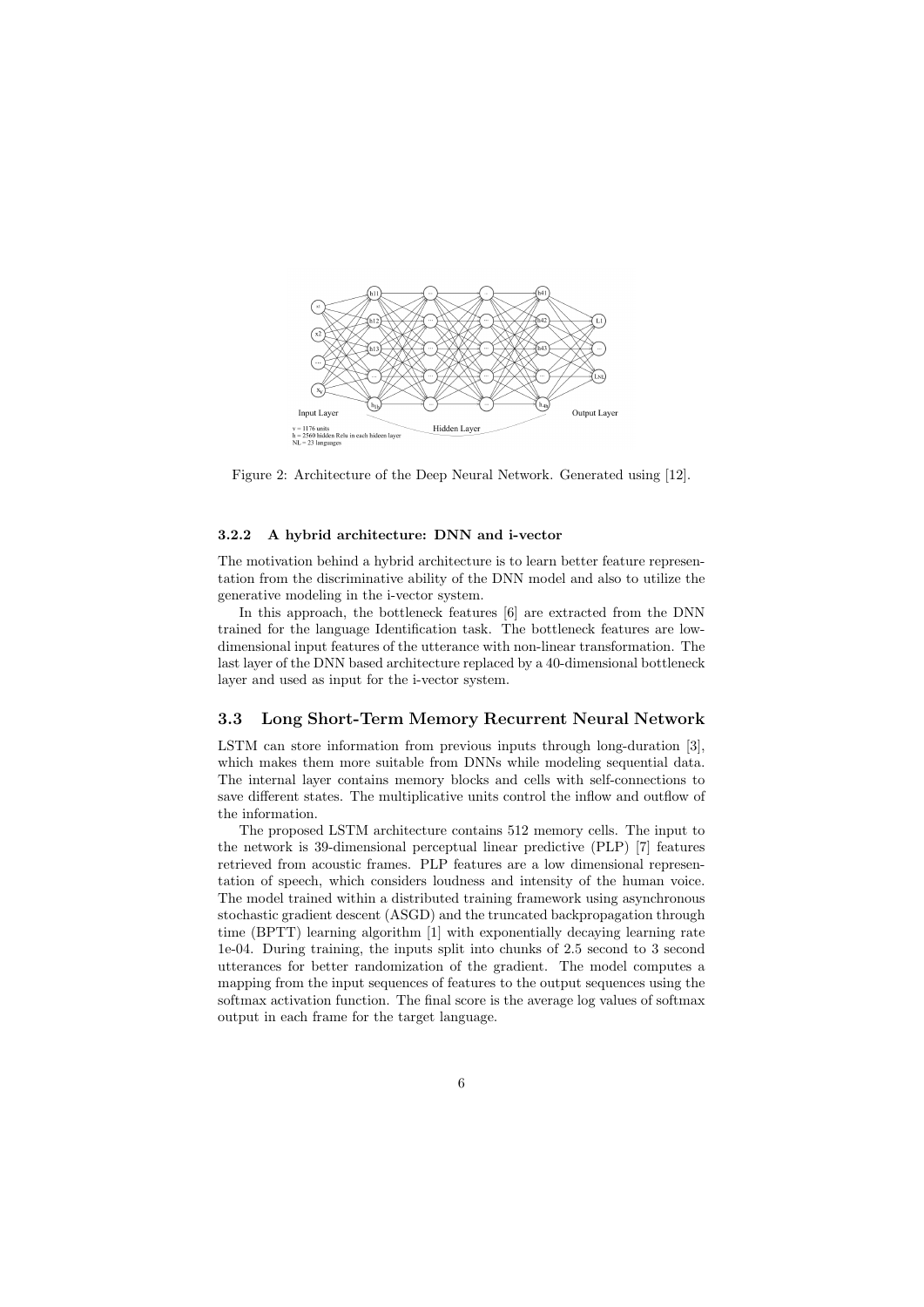

Figure 2: Architecture of the Deep Neural Network. Generated using [12].

#### 3.2.2 A hybrid architecture: DNN and i-vector

The motivation behind a hybrid architecture is to learn better feature representation from the discriminative ability of the DNN model and also to utilize the generative modeling in the i-vector system.

In this approach, the bottleneck features [6] are extracted from the DNN trained for the language Identification task. The bottleneck features are lowdimensional input features of the utterance with non-linear transformation. The last layer of the DNN based architecture replaced by a 40-dimensional bottleneck layer and used as input for the i-vector system.

#### 3.3 Long Short-Term Memory Recurrent Neural Network

LSTM can store information from previous inputs through long-duration [3], which makes them more suitable from DNNs while modeling sequential data. The internal layer contains memory blocks and cells with self-connections to save different states. The multiplicative units control the inflow and outflow of the information.

The proposed LSTM architecture contains 512 memory cells. The input to the network is 39-dimensional perceptual linear predictive (PLP) [7] features retrieved from acoustic frames. PLP features are a low dimensional representation of speech, which considers loudness and intensity of the human voice. The model trained within a distributed training framework using asynchronous stochastic gradient descent (ASGD) and the truncated backpropagation through time (BPTT) learning algorithm [1] with exponentially decaying learning rate 1e-04. During training, the inputs split into chunks of 2.5 second to 3 second utterances for better randomization of the gradient. The model computes a mapping from the input sequences of features to the output sequences using the softmax activation function. The final score is the average log values of softmax output in each frame for the target language.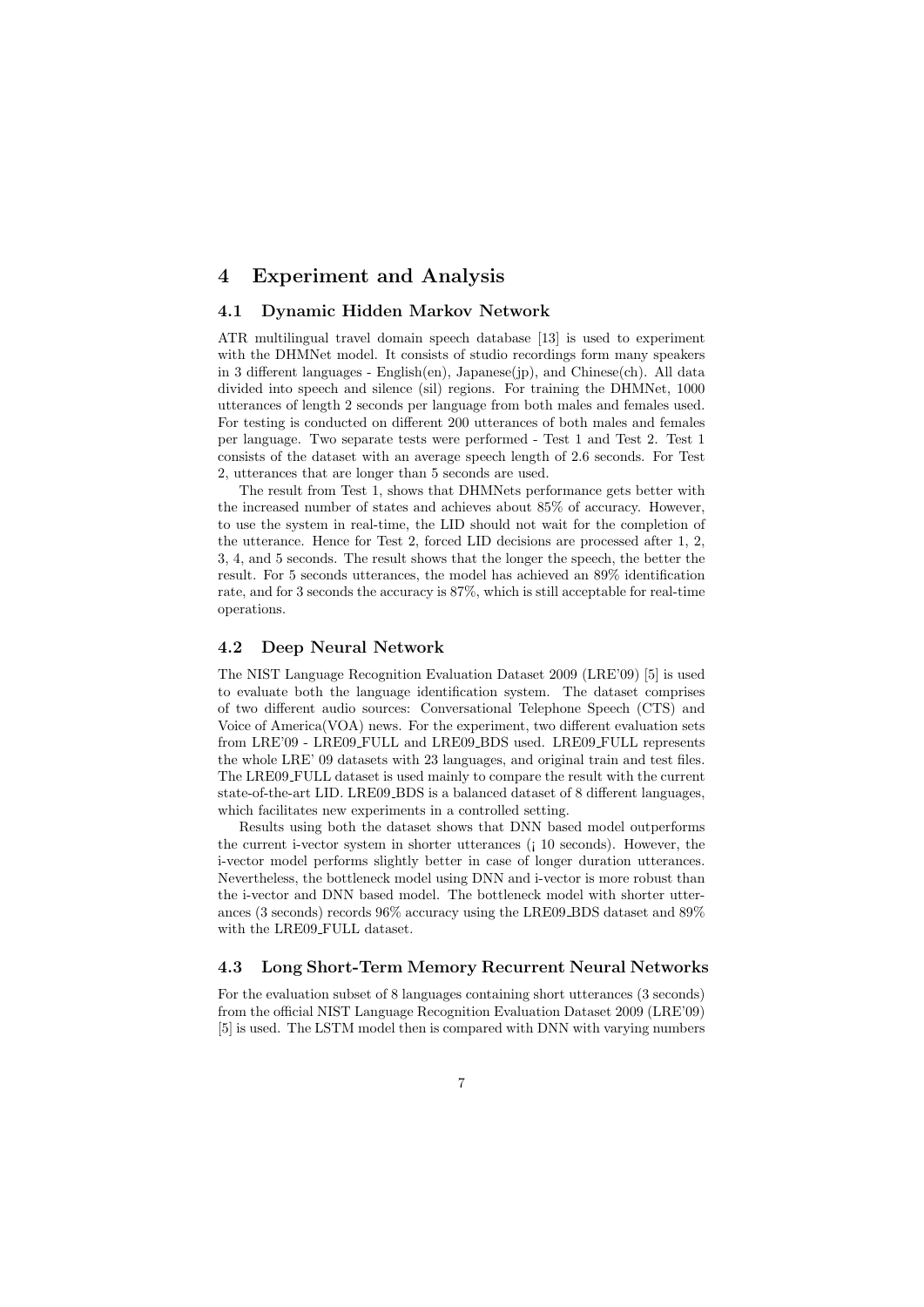## 4 Experiment and Analysis

#### 4.1 Dynamic Hidden Markov Network

ATR multilingual travel domain speech database [13] is used to experiment with the DHMNet model. It consists of studio recordings form many speakers in 3 different languages - English $(en)$ , Japanese $(jp)$ , and Chinese $(ch)$ . All data divided into speech and silence (sil) regions. For training the DHMNet, 1000 utterances of length 2 seconds per language from both males and females used. For testing is conducted on different 200 utterances of both males and females per language. Two separate tests were performed - Test 1 and Test 2. Test 1 consists of the dataset with an average speech length of 2.6 seconds. For Test 2, utterances that are longer than 5 seconds are used.

The result from Test 1, shows that DHMNets performance gets better with the increased number of states and achieves about 85% of accuracy. However, to use the system in real-time, the LID should not wait for the completion of the utterance. Hence for Test 2, forced LID decisions are processed after 1, 2, 3, 4, and 5 seconds. The result shows that the longer the speech, the better the result. For 5 seconds utterances, the model has achieved an 89% identification rate, and for 3 seconds the accuracy is 87%, which is still acceptable for real-time operations.

#### 4.2 Deep Neural Network

The NIST Language Recognition Evaluation Dataset 2009 (LRE'09) [5] is used to evaluate both the language identification system. The dataset comprises of two different audio sources: Conversational Telephone Speech (CTS) and Voice of  $American(VOA)$  news. For the experiment, two different evaluation sets from LRE'09 - LRE09 FULL and LRE09 BDS used. LRE09 FULL represents the whole LRE' 09 datasets with 23 languages, and original train and test files. The LRE09 FULL dataset is used mainly to compare the result with the current state-of-the-art LID. LRE09\_BDS is a balanced dataset of 8 different languages, which facilitates new experiments in a controlled setting.

Results using both the dataset shows that DNN based model outperforms the current i-vector system in shorter utterances (¡ 10 seconds). However, the i-vector model performs slightly better in case of longer duration utterances. Nevertheless, the bottleneck model using DNN and i-vector is more robust than the i-vector and DNN based model. The bottleneck model with shorter utterances (3 seconds) records 96% accuracy using the LRE09 BDS dataset and 89% with the LRE09\_FULL dataset.

## 4.3 Long Short-Term Memory Recurrent Neural Networks

For the evaluation subset of 8 languages containing short utterances (3 seconds) from the official NIST Language Recognition Evaluation Dataset 2009 (LRE'09) [5] is used. The LSTM model then is compared with DNN with varying numbers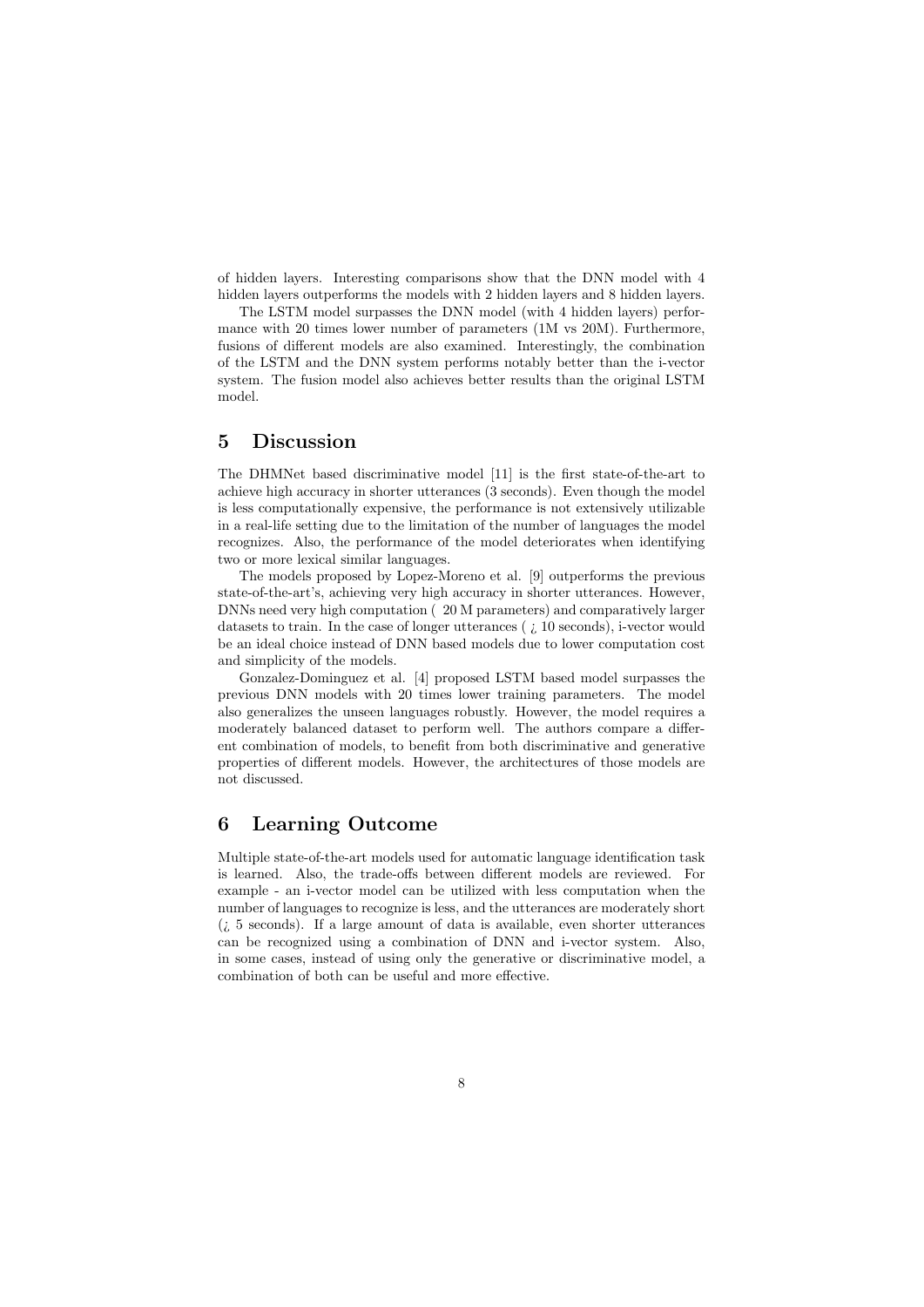of hidden layers. Interesting comparisons show that the DNN model with 4 hidden layers outperforms the models with 2 hidden layers and 8 hidden layers.

The LSTM model surpasses the DNN model (with 4 hidden layers) performance with 20 times lower number of parameters (1M vs 20M). Furthermore, fusions of different models are also examined. Interestingly, the combination of the LSTM and the DNN system performs notably better than the i-vector system. The fusion model also achieves better results than the original LSTM model.

## 5 Discussion

The DHMNet based discriminative model [11] is the first state-of-the-art to achieve high accuracy in shorter utterances (3 seconds). Even though the model is less computationally expensive, the performance is not extensively utilizable in a real-life setting due to the limitation of the number of languages the model recognizes. Also, the performance of the model deteriorates when identifying two or more lexical similar languages.

The models proposed by Lopez-Moreno et al. [9] outperforms the previous state-of-the-art's, achieving very high accuracy in shorter utterances. However, DNNs need very high computation ( 20 M parameters) and comparatively larger datasets to train. In the case of longer utterances ( ¿ 10 seconds), i-vector would be an ideal choice instead of DNN based models due to lower computation cost and simplicity of the models.

Gonzalez-Dominguez et al. [4] proposed LSTM based model surpasses the previous DNN models with 20 times lower training parameters. The model also generalizes the unseen languages robustly. However, the model requires a moderately balanced dataset to perform well. The authors compare a different combination of models, to benefit from both discriminative and generative properties of different models. However, the architectures of those models are not discussed.

# 6 Learning Outcome

Multiple state-of-the-art models used for automatic language identification task is learned. Also, the trade-offs between different models are reviewed. For example - an i-vector model can be utilized with less computation when the number of languages to recognize is less, and the utterances are moderately short  $(i, 5 \text{ seconds})$ . If a large amount of data is available, even shorter utterances can be recognized using a combination of DNN and i-vector system. Also, in some cases, instead of using only the generative or discriminative model, a combination of both can be useful and more effective.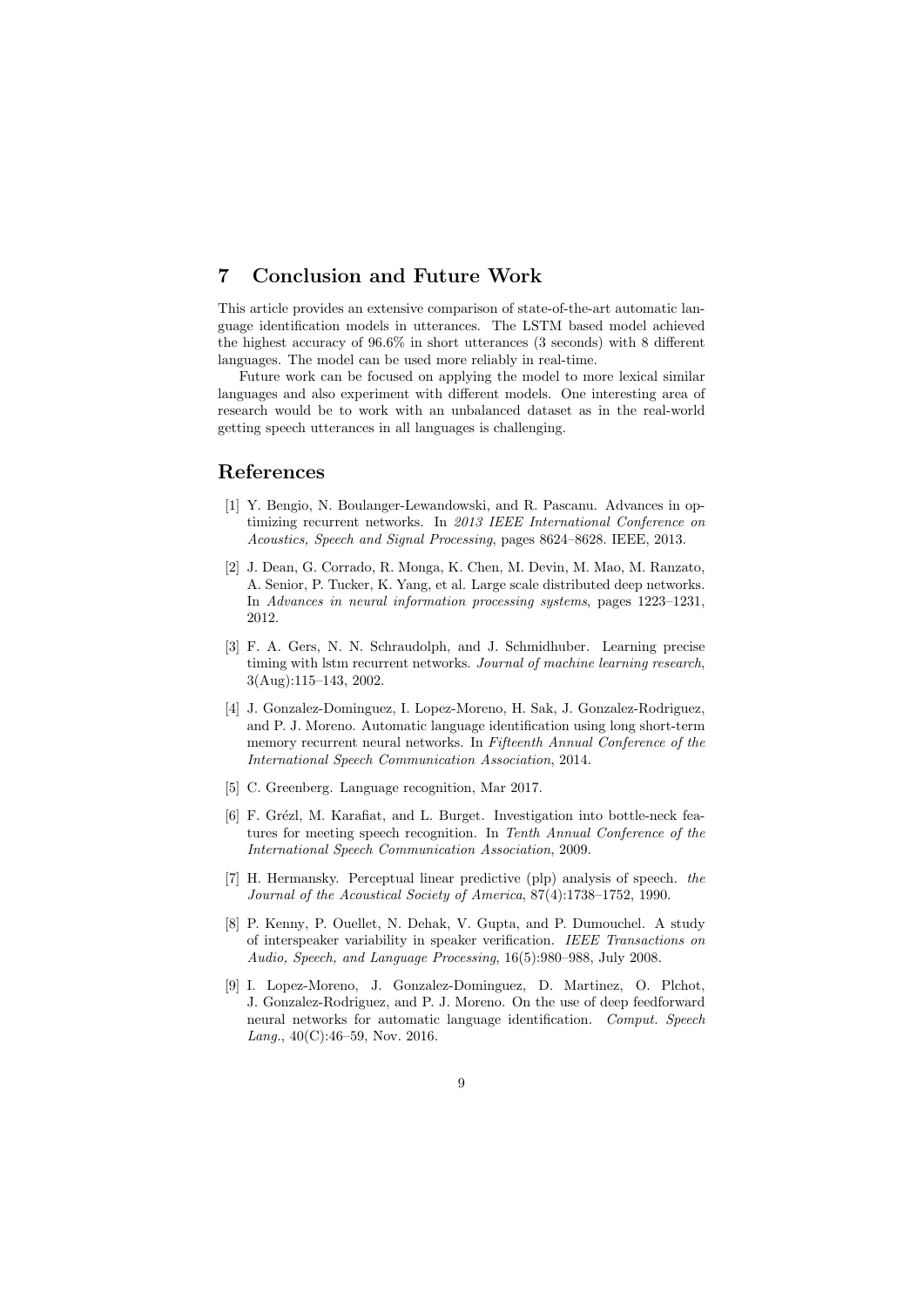# 7 Conclusion and Future Work

This article provides an extensive comparison of state-of-the-art automatic language identification models in utterances. The LSTM based model achieved the highest accuracy of  $96.6\%$  in short utterances (3 seconds) with 8 different languages. The model can be used more reliably in real-time.

Future work can be focused on applying the model to more lexical similar languages and also experiment with different models. One interesting area of research would be to work with an unbalanced dataset as in the real-world getting speech utterances in all languages is challenging.

# References

- [1] Y. Bengio, N. Boulanger-Lewandowski, and R. Pascanu. Advances in optimizing recurrent networks. In *2013 IEEE International Conference on Acoustics, Speech and Signal Processing*, pages 8624–8628. IEEE, 2013.
- [2] J. Dean, G. Corrado, R. Monga, K. Chen, M. Devin, M. Mao, M. Ranzato, A. Senior, P. Tucker, K. Yang, et al. Large scale distributed deep networks. In *Advances in neural information processing systems*, pages 1223–1231, 2012.
- [3] F. A. Gers, N. N. Schraudolph, and J. Schmidhuber. Learning precise timing with lstm recurrent networks. *Journal of machine learning research*, 3(Aug):115–143, 2002.
- [4] J. Gonzalez-Dominguez, I. Lopez-Moreno, H. Sak, J. Gonzalez-Rodriguez, and P. J. Moreno. Automatic language identification using long short-term memory recurrent neural networks. In *Fifteenth Annual Conference of the International Speech Communication Association*, 2014.
- [5] C. Greenberg. Language recognition, Mar 2017.
- [6] F. Grézl, M. Karafiat, and L. Burget. Investigation into bottle-neck features for meeting speech recognition. In *Tenth Annual Conference of the International Speech Communication Association*, 2009.
- [7] H. Hermansky. Perceptual linear predictive (plp) analysis of speech. *the Journal of the Acoustical Society of America*, 87(4):1738–1752, 1990.
- [8] P. Kenny, P. Ouellet, N. Dehak, V. Gupta, and P. Dumouchel. A study of interspeaker variability in speaker verification. *IEEE Transactions on Audio, Speech, and Language Processing*, 16(5):980–988, July 2008.
- [9] I. Lopez-Moreno, J. Gonzalez-Dominguez, D. Martinez, O. Plchot, J. Gonzalez-Rodriguez, and P. J. Moreno. On the use of deep feedforward neural networks for automatic language identification. *Comput. Speech Lang.*, 40(C):46–59, Nov. 2016.